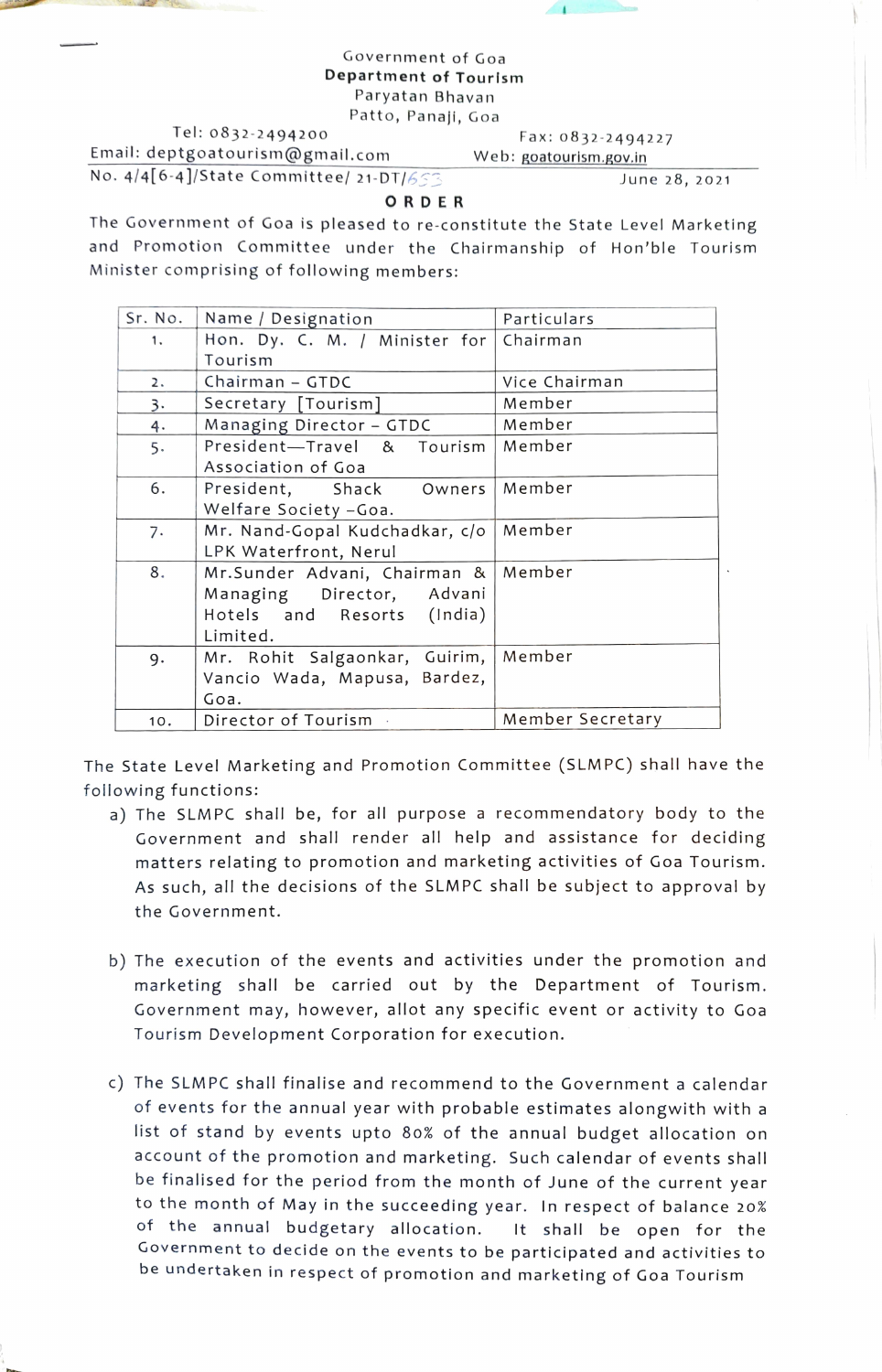## Government of Goa Department of Tourism Paryatan Bhavan Patto, Panaji, Goa

Tel: 0832-2494200 Email: deptgoatourism@gmail.com

Fax: 0832-2494227 Web: goatourism.gov.in

 $\left( \frac{1}{2} \right)$ 

No. 4/4[6-4]/State Committee/ 21-DT/6

June 28, 2021

## **ORDER**

The Government of Goa is pleased to re-constitute the State Level Marketing and Promotion Committee under the Chairmanship of Hon'ble Tourism Minister comprising of following members:

| Sr. No. | Name / Designation                     | Particulars      |
|---------|----------------------------------------|------------------|
| 1.      | Hon. Dy. C. M. / Minister for Chairman |                  |
|         | Tourism                                |                  |
| 2.      | Chairman - GTDC                        | Vice Chairman    |
| 3.      | Secretary [Tourism]                    | Member           |
| 4.      | Managing Director - GTDC               | Member           |
| 5.      | President-Travel & Tourism             | Member           |
|         | Association of Goa                     |                  |
| 6.      | President, Shack Owners                | Member           |
|         | Welfare Society - Goa.                 |                  |
| 7.      | Mr. Nand-Gopal Kudchadkar, c/o         | Member           |
|         | LPK Waterfront, Nerul                  |                  |
| 8.      | Mr.Sunder Advani, Chairman &           | Member           |
|         | Managing Director, Advani              |                  |
|         | Hotels and Resorts (India)             |                  |
|         | Limited.                               |                  |
| 9.      | Mr. Rohit Salgaonkar, Guirim,   Member |                  |
|         | Vancio Wada, Mapusa, Bardez,           |                  |
|         | Goa.                                   |                  |
| 10.     | Director of Tourism                    | Member Secretary |

The State Level Marketing and Promotion Committee (SLMPC) shall have the following functions:

- a) The SLMPC shall be, for all purpose a recommendatory body to the Government and shall render all help and assistance for deciding matters relating to promotion and marketing activities of Goa Tourism. As such, all the decisions of the SLMPC shall be subject to approval by the Government.
- b) The execution of the events and activities under the promotion and marketing shall be carried out by the Department of Tourism. Government may, however, allot any specific event or activity to Goa Tourism Development Corporation for execution.
- c) The SLMPC shall finalise and recommend to the Government a calendar of events for the annual year with probable estimates alongwith with a list of stand by events upto 80% of the annual budget allocation on account of the promotion and marketing. Such calendar of events shall be finalised for the period from the month of June of the current year to the month of May in the succeeding year. In respect of balance 20% of the annual budgetary allocation. It shall be open for the Government to decide on the events to be participated and activities to be undertaken in respect of promotion and marketing of Goa Tourism